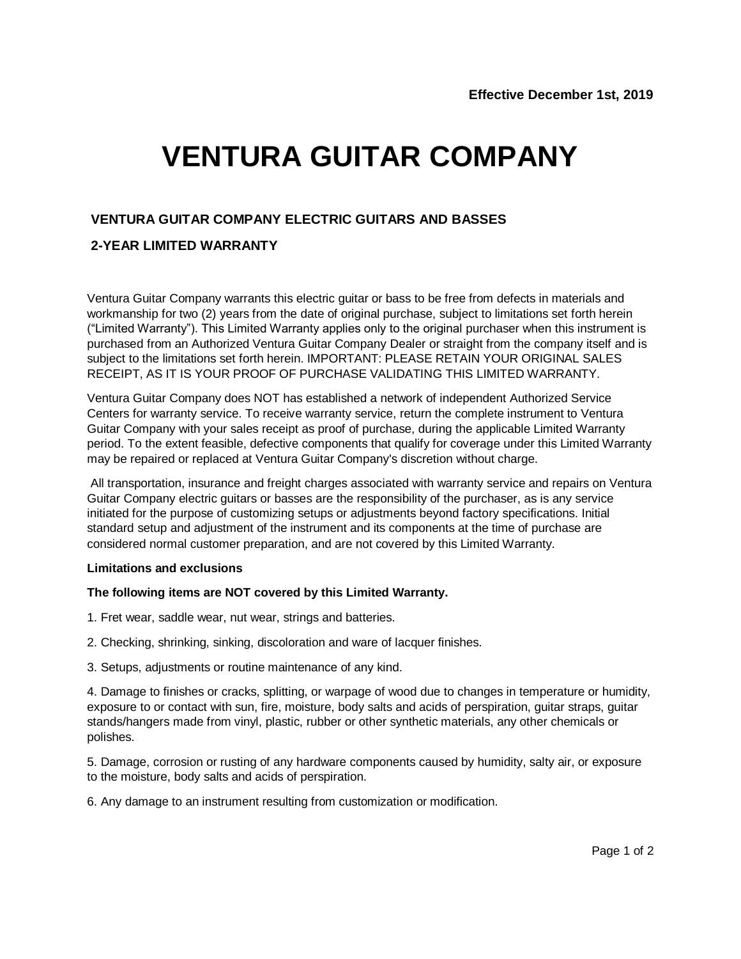# **VENTURA GUITAR COMPANY**

### **VENTURA GUITAR COMPANY ELECTRIC GUITARS AND BASSES**

## **2-YEAR LIMITED WARRANTY**

Ventura Guitar Company warrants this electric guitar or bass to be free from defects in materials and workmanship for two (2) years from the date of original purchase, subject to limitations set forth herein ("Limited Warranty"). This Limited Warranty applies only to the original purchaser when this instrument is purchased from an Authorized Ventura Guitar Company Dealer or straight from the company itself and is subject to the limitations set forth herein. IMPORTANT: PLEASE RETAIN YOUR ORIGINAL SALES RECEIPT, AS IT IS YOUR PROOF OF PURCHASE VALIDATING THIS LIMITED WARRANTY.

Ventura Guitar Company does NOT has established a network of independent Authorized Service Centers for warranty service. To receive warranty service, return the complete instrument to Ventura Guitar Company with your sales receipt as proof of purchase, during the applicable Limited Warranty period. To the extent feasible, defective components that qualify for coverage under this Limited Warranty may be repaired or replaced at Ventura Guitar Company's discretion without charge.

All transportation, insurance and freight charges associated with warranty service and repairs on Ventura Guitar Company electric guitars or basses are the responsibility of the purchaser, as is any service initiated for the purpose of customizing setups or adjustments beyond factory specifications. Initial standard setup and adjustment of the instrument and its components at the time of purchase are considered normal customer preparation, and are not covered by this Limited Warranty.

#### **Limitations and exclusions**

#### **The following items are NOT covered by this Limited Warranty.**

- 1. Fret wear, saddle wear, nut wear, strings and batteries.
- 2. Checking, shrinking, sinking, discoloration and ware of lacquer finishes.
- 3. Setups, adjustments or routine maintenance of any kind.

4. Damage to finishes or cracks, splitting, or warpage of wood due to changes in temperature or humidity, exposure to or contact with sun, fire, moisture, body salts and acids of perspiration, guitar straps, guitar stands/hangers made from vinyl, plastic, rubber or other synthetic materials, any other chemicals or polishes.

5. Damage, corrosion or rusting of any hardware components caused by humidity, salty air, or exposure to the moisture, body salts and acids of perspiration.

6. Any damage to an instrument resulting from customization or modification.